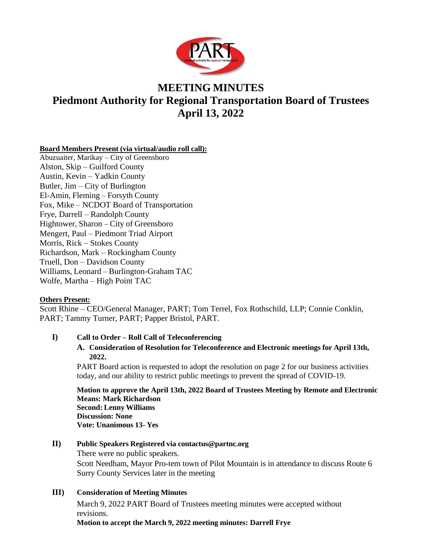

# **MEETING MINUTES Piedmont Authority for Regional Transportation Board of Trustees April 13, 2022**

## **Board Members Present (via virtual/audio roll call):**

Abuzuaiter, Marikay – City of Greensboro Alston, Skip – Guilford County Austin, Kevin – Yadkin County Butler, Jim – City of Burlington El-Amin, Fleming – Forsyth County Fox, Mike – NCDOT Board of Transportation Frye, Darrell – Randolph County Hightower, Sharon – City of Greensboro Mengert, Paul – Piedmont Triad Airport Morris, Rick – Stokes County Richardson, Mark – Rockingham County Truell, Don – Davidson County Williams, Leonard – Burlington-Graham TAC Wolfe, Martha – High Point TAC

## **Others Present:**

Scott Rhine – CEO/General Manager, PART; Tom Terrel, Fox Rothschild, LLP; Connie Conklin, PART; Tammy Turner, PART; Papper Bristol, PART.

## **I) Call to Order – Roll Call of Teleconferencing**

## **A. Consideration of Resolution for Teleconference and Electronic meetings for April 13th, 2022.**

PART Board action is requested to adopt the resolution on page 2 for our business activities today, and our ability to restrict public meetings to prevent the spread of COVID-19.

**Motion to approve the April 13th, 2022 Board of Trustees Meeting by Remote and Electronic Means: Mark Richardson Second: Lenny Williams Discussion: None Vote: Unanimous 13- Yes**

## **II) Public Speakers Registered via [contactus@partnc.org](mailto:contactus@partnc.org)**

There were no public speakers. Scott Needham, Mayor Pro-tem town of Pilot Mountain is in attendance to discuss Route 6 Surry County Services later in the meeting

## **III) Consideration of Meeting Minutes**

March 9, 2022 PART Board of Trustees meeting minutes were accepted without revisions.

**Motion to accept the March 9, 2022 meeting minutes: Darrell Frye**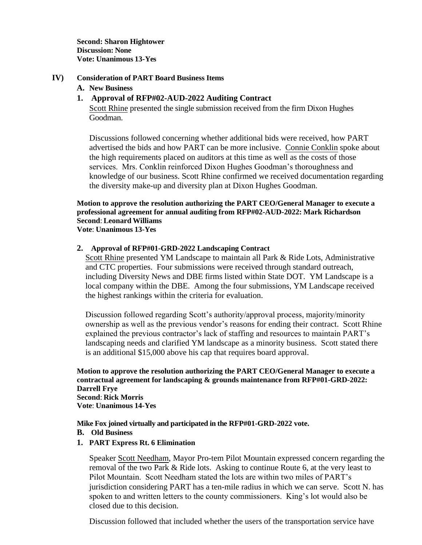**Second: Sharon Hightower Discussion: None Vote: Unanimous 13-Yes**

#### **IV) Consideration of PART Board Business Items**

#### **A. New Business**

## **1. Approval of RFP#02-AUD-2022 Auditing Contract**

Scott Rhine presented the single submission received from the firm Dixon Hughes Goodman.

Discussions followed concerning whether additional bids were received, how PART advertised the bids and how PART can be more inclusive. Connie Conklin spoke about the high requirements placed on auditors at this time as well as the costs of those services. Mrs. Conklin reinforced Dixon Hughes Goodman's thoroughness and knowledge of our business. Scott Rhine confirmed we received documentation regarding the diversity make-up and diversity plan at Dixon Hughes Goodman.

## **Motion to approve the resolution authorizing the PART CEO/General Manager to execute a professional agreement for annual auditing from RFP#02-AUD-2022: Mark Richardson Second**: **Leonard Williams**

**Vote**: **Unanimous 13-Yes**

#### **2. Approval of RFP#01-GRD-2022 Landscaping Contract**

Scott Rhine presented YM Landscape to maintain all Park & Ride Lots, Administrative and CTC properties. Four submissions were received through standard outreach, including Diversity News and DBE firms listed within State DOT. YM Landscape is a local company within the DBE. Among the four submissions, YM Landscape received the highest rankings within the criteria for evaluation.

Discussion followed regarding Scott's authority/approval process, majority/minority ownership as well as the previous vendor's reasons for ending their contract. Scott Rhine explained the previous contractor's lack of staffing and resources to maintain PART's landscaping needs and clarified YM landscape as a minority business. Scott stated there is an additional \$15,000 above his cap that requires board approval.

**Motion to approve the resolution authorizing the PART CEO/General Manager to execute a contractual agreement for landscaping & grounds maintenance from RFP#01-GRD-2022: Darrell Frye Second**: **Rick Morris Vote**: **Unanimous 14-Yes**

**Mike Fox joined virtually and participated in the RFP#01-GRD-2022 vote.**

- **B. Old Business**
- **1. PART Express Rt. 6 Elimination**

Speaker Scott Needham, Mayor Pro-tem Pilot Mountain expressed concern regarding the removal of the two Park & Ride lots. Asking to continue Route 6, at the very least to Pilot Mountain. Scott Needham stated the lots are within two miles of PART's jurisdiction considering PART has a ten-mile radius in which we can serve. Scott N. has spoken to and written letters to the county commissioners. King's lot would also be closed due to this decision.

Discussion followed that included whether the users of the transportation service have